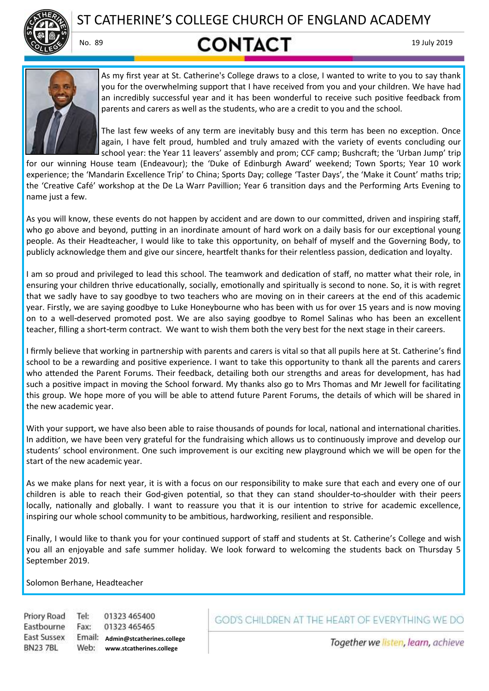

ST CATHERINE'S COLLEGE CHURCH OF ENGLAND ACADEMY

# No. 89 **CONTACT** 19 July 2019



As my first year at St. Catherine's College draws to a close, I wanted to write to you to say thank you for the overwhelming support that I have received from you and your children. We have had an incredibly successful year and it has been wonderful to receive such positive feedback from parents and carers as well as the students, who are a credit to you and the school.

The last few weeks of any term are inevitably busy and this term has been no exception. Once again, I have felt proud, humbled and truly amazed with the variety of events concluding our school year: the Year 11 leavers' assembly and prom; CCF camp; Bushcraft; the 'Urban Jump' trip

for our winning House team (Endeavour); the 'Duke of Edinburgh Award' weekend; Town Sports; Year 10 work experience; the 'Mandarin Excellence Trip' to China; Sports Day; college 'Taster Days', the 'Make it Count' maths trip; the 'Creative Café' workshop at the De La Warr Pavillion; Year 6 transition days and the Performing Arts Evening to name just a few.

As you will know, these events do not happen by accident and are down to our committed, driven and inspiring staff, who go above and beyond, putting in an inordinate amount of hard work on a daily basis for our exceptional young people. As their Headteacher, I would like to take this opportunity, on behalf of myself and the Governing Body, to publicly acknowledge them and give our sincere, heartfelt thanks for their relentless passion, dedication and loyalty.

I am so proud and privileged to lead this school. The teamwork and dedication of staff, no matter what their role, in ensuring your children thrive educationally, socially, emotionally and spiritually is second to none. So, it is with regret that we sadly have to say goodbye to two teachers who are moving on in their careers at the end of this academic year. Firstly, we are saying goodbye to Luke Honeybourne who has been with us for over 15 years and is now moving on to a well-deserved promoted post. We are also saying goodbye to Romel Salinas who has been an excellent teacher, filling a short-term contract. We want to wish them both the very best for the next stage in their careers.

I firmly believe that working in partnership with parents and carers is vital so that all pupils here at St. Catherine's find school to be a rewarding and positive experience. I want to take this opportunity to thank all the parents and carers who attended the Parent Forums. Their feedback, detailing both our strengths and areas for development, has had such a positive impact in moving the School forward. My thanks also go to Mrs Thomas and Mr Jewell for facilitating this group. We hope more of you will be able to attend future Parent Forums, the details of which will be shared in the new academic year.

With your support, we have also been able to raise thousands of pounds for local, national and international charities. In addition, we have been very grateful for the fundraising which allows us to continuously improve and develop our students' school environment. One such improvement is our exciting new playground which we will be open for the start of the new academic year.

As we make plans for next year, it is with a focus on our responsibility to make sure that each and every one of our children is able to reach their God-given potential, so that they can stand shoulder-to-shoulder with their peers locally, nationally and globally. I want to reassure you that it is our intention to strive for academic excellence, inspiring our whole school community to be ambitious, hardworking, resilient and responsible.

Finally, I would like to thank you for your continued support of staff and students at St. Catherine's College and wish you all an enjoyable and safe summer holiday. We look forward to welcoming the students back on Thursday 5 September 2019.

Solomon Berhane, Headteacher

Priory Road Tel: 01323 465400 Eastbourne Fax: 01323 465465 **East Sussex Admin@stcatherines.college BN237BL** Web: **www.stcatherines.college**

# GOD'S CHILDREN AT THE HEART OF EVERYTHING WE DO

Together we listen, learn, achieve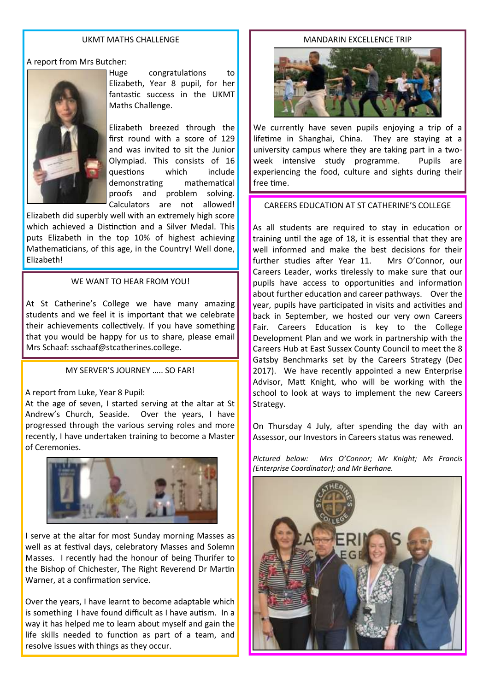#### UKMT MATHS CHALLENGE

A report from Mrs Butcher:



Huge congratulations to Elizabeth, Year 8 pupil, for her fantastic success in the UKMT Maths Challenge.

Elizabeth breezed through the first round with a score of 129 and was invited to sit the Junior Olympiad. This consists of 16 questions which include demonstrating mathematical proofs and problem solving. Calculators are not allowed!

Elizabeth did superbly well with an extremely high score which achieved a Distinction and a Silver Medal. This puts Elizabeth in the top 10% of highest achieving Mathematicians, of this age, in the Country! Well done, Elizabeth!

#### WE WANT TO HEAR FROM YOU!

At St Catherine's College we have many amazing students and we feel it is important that we celebrate their achievements collectively. If you have something that you would be happy for us to share, please email Mrs Schaaf: sschaaf@stcatherines.college.

#### MY SERVER'S JOURNEY ….. SO FAR!

#### A report from Luke, Year 8 Pupil:

At the age of seven, I started serving at the altar at St Andrew's Church, Seaside. Over the years, I have progressed through the various serving roles and more recently, I have undertaken training to become a Master of Ceremonies.



I serve at the altar for most Sunday morning Masses as well as at festival days, celebratory Masses and Solemn Masses. I recently had the honour of being Thurifer to the Bishop of Chichester, The Right Reverend Dr Martin Warner, at a confirmation service.

Over the years, I have learnt to become adaptable which is something I have found difficult as I have autism. In a way it has helped me to learn about myself and gain the life skills needed to function as part of a team, and resolve issues with things as they occur.

#### MANDARIN EXCELLENCE TRIP



We currently have seven pupils enjoying a trip of a lifetime in Shanghai, China. They are staying at a university campus where they are taking part in a twoweek intensive study programme. Pupils are experiencing the food, culture and sights during their free time.

# CAREERS EDUCATION AT ST CATHERINE'S COLLEGE

As all students are required to stay in education or training until the age of 18, it is essential that they are well informed and make the best decisions for their further studies after Year 11. Mrs O'Connor, our Careers Leader, works tirelessly to make sure that our pupils have access to opportunities and information about further education and career pathways. Over the year, pupils have participated in visits and activities and back in September, we hosted our very own Careers Fair. Careers Education is key to the College Development Plan and we work in partnership with the Careers Hub at East Sussex County Council to meet the 8 Gatsby Benchmarks set by the Careers Strategy (Dec 2017). We have recently appointed a new Enterprise Advisor, Matt Knight, who will be working with the school to look at ways to implement the new Careers Strategy.

On Thursday 4 July, after spending the day with an Assessor, our Investors in Careers status was renewed.

*Pictured below: Mrs O'Connor; Mr Knight; Ms Francis (Enterprise Coordinator); and Mr Berhane.*

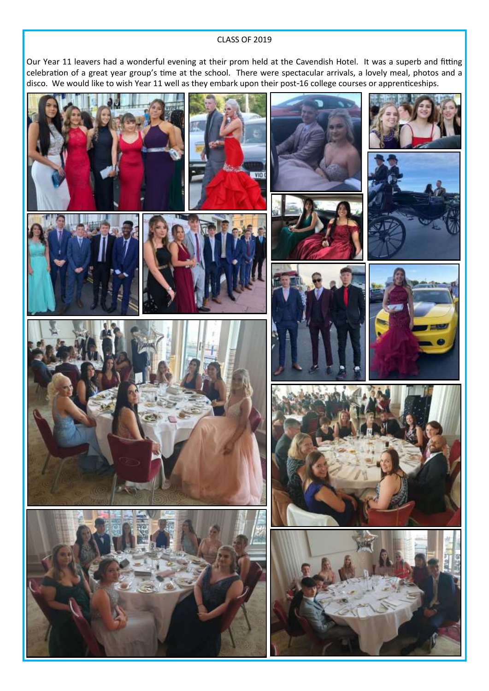#### CLASS OF 2019

Our Year 11 leavers had a wonderful evening at their prom held at the Cavendish Hotel. It was a superb and fitting celebration of a great year group's time at the school. There were spectacular arrivals, a lovely meal, photos and a disco. We would like to wish Year 11 well as they embark upon their post-16 college courses or apprenticeships.

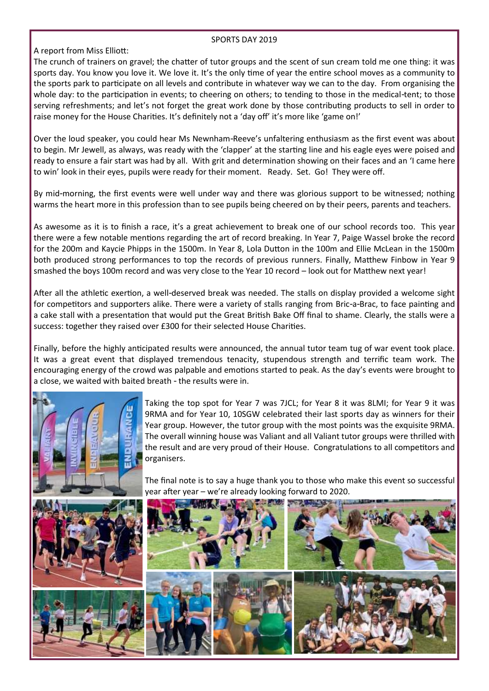#### SPORTS DAY 2019

A report from Miss Elliott:

The crunch of trainers on gravel; the chatter of tutor groups and the scent of sun cream told me one thing: it was sports day. You know you love it. We love it. It's the only time of year the entire school moves as a community to the sports park to participate on all levels and contribute in whatever way we can to the day. From organising the whole day: to the participation in events; to cheering on others; to tending to those in the medical-tent; to those serving refreshments; and let's not forget the great work done by those contributing products to sell in order to raise money for the House Charities. It's definitely not a 'day off' it's more like 'game on!'

Over the loud speaker, you could hear Ms Newnham-Reeve's unfaltering enthusiasm as the first event was about to begin. Mr Jewell, as always, was ready with the 'clapper' at the starting line and his eagle eyes were poised and ready to ensure a fair start was had by all. With grit and determination showing on their faces and an 'I came here to win' look in their eyes, pupils were ready for their moment. Ready. Set. Go! They were off.

By mid-morning, the first events were well under way and there was glorious support to be witnessed; nothing warms the heart more in this profession than to see pupils being cheered on by their peers, parents and teachers.

As awesome as it is to finish a race, it's a great achievement to break one of our school records too. This year there were a few notable mentions regarding the art of record breaking. In Year 7, Paige Wassel broke the record for the 200m and Kaycie Phipps in the 1500m. In Year 8, Lola Dutton in the 100m and Ellie McLean in the 1500m both produced strong performances to top the records of previous runners. Finally, Matthew Finbow in Year 9 smashed the boys 100m record and was very close to the Year 10 record – look out for Matthew next year!

After all the athletic exertion, a well-deserved break was needed. The stalls on display provided a welcome sight for competitors and supporters alike. There were a variety of stalls ranging from Bric-a-Brac, to face painting and a cake stall with a presentation that would put the Great British Bake Off final to shame. Clearly, the stalls were a success: together they raised over £300 for their selected House Charities.

Finally, before the highly anticipated results were announced, the annual tutor team tug of war event took place. It was a great event that displayed tremendous tenacity, stupendous strength and terrific team work. The encouraging energy of the crowd was palpable and emotions started to peak. As the day's events were brought to a close, we waited with baited breath - the results were in.



Taking the top spot for Year 7 was 7JCL; for Year 8 it was 8LMI; for Year 9 it was 9RMA and for Year 10, 10SGW celebrated their last sports day as winners for their Year group. However, the tutor group with the most points was the exquisite 9RMA. The overall winning house was Valiant and all Valiant tutor groups were thrilled with the result and are very proud of their House. Congratulations to all competitors and organisers.

The final note is to say a huge thank you to those who make this event so successful year after year – we're already looking forward to 2020.

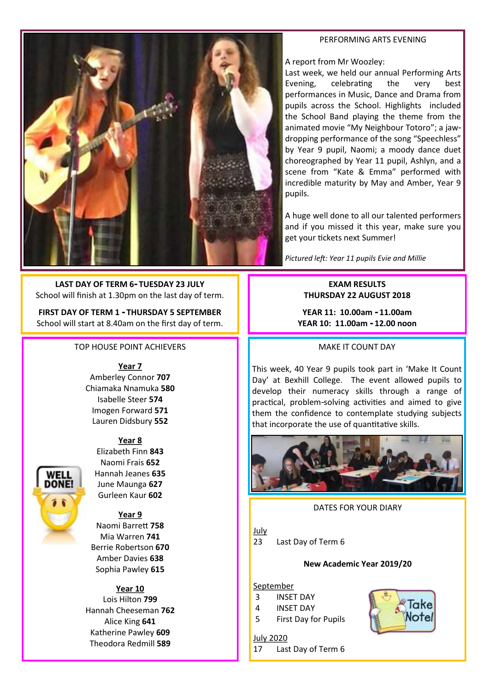#### PERFORMING ARTS EVENING



A report from Mr Woozley:

Last week, we held our annual Performing Arts Evening, celebrating the very best performances in Music, Dance and Drama from pupils across the School. Highlights included the School Band playing the theme from the animated movie "My Neighbour Totoro"; a jawdropping performance of the song "Speechless" by Year 9 pupil, Naomi; a moody dance duet choreographed by Year 11 pupil, Ashlyn, and a scene from "Kate & Emma" performed with incredible maturity by May and Amber, Year 9 pupils.

A huge well done to all our talented performers and if you missed it this year, make sure you get your tickets next Summer!

*Pictured left: Year 11 pupils Evie and Millie*

# **EXAM RESULTS THURSDAY 22 AUGUST 2018**

**YEAR 11: 10.00am - 11.00am YEAR 10: 11.00am - 12.00 noon**

MAKE IT COUNT DAY

This week, 40 Year 9 pupils took part in 'Make It Count Day' at Bexhill College. The event allowed pupils to develop their numeracy skills through a range of practical, problem-solving activities and aimed to give them the confidence to contemplate studying subjects that incorporate the use of quantitative skills.



# DATES FOR YOUR DIARY

July

23 Last Day of Term 6

#### **New Academic Year 2019/20**

#### September

July 2020

- 3 INSET DAY
- 4 INSET DAY
- 5 First Day for Pupils

17 Last Day of Term 6



**LAST DAY OF TERM 6- TUESDAY 23 JULY** School will finish at 1.30pm on the last day of term.

**FIRST DAY OF TERM 1 - THURSDAY 5 SEPTEMBER** School will start at 8.40am on the first day of term.

# TOP HOUSE POINT ACHIEVERS

**Year 7**

Amberley Connor **707** Chiamaka Nnamuka **580** Isabelle Steer **574** Imogen Forward **571** Lauren Didsbury **552**

#### **Year 8**



Elizabeth Finn **843** Naomi Frais **652** Hannah Jeanes **635** June Maunga **627** Gurleen Kaur **602**

**Year 9** Naomi Barrett **758** Mia Warren **741** Berrie Robertson **670** Amber Davies **638** Sophia Pawley **615**

# **Year 10**

Lois Hilton **799** Hannah Cheeseman **762** Alice King **641** Katherine Pawley **609** Theodora Redmill **589**